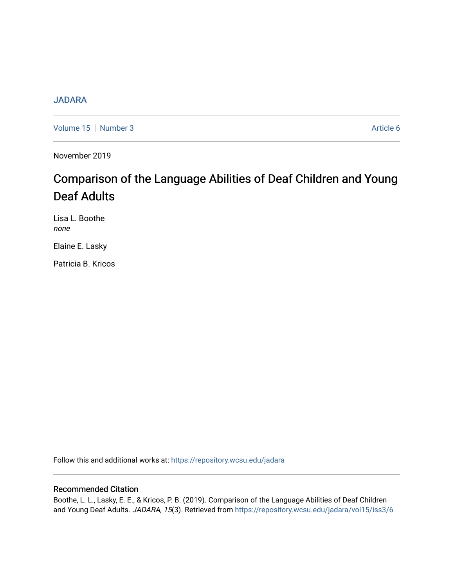# [JADARA](https://repository.wcsu.edu/jadara)

[Volume 15](https://repository.wcsu.edu/jadara/vol15) | [Number 3](https://repository.wcsu.edu/jadara/vol15/iss3) Article 6

November 2019

# Comparison of the Language Abilities of Deaf Children and Young Deaf Adults

Lisa L. Boothe none

Elaine E. Lasky

Patricia B. Kricos

Follow this and additional works at: [https://repository.wcsu.edu/jadara](https://repository.wcsu.edu/jadara?utm_source=repository.wcsu.edu%2Fjadara%2Fvol15%2Fiss3%2F6&utm_medium=PDF&utm_campaign=PDFCoverPages)

## Recommended Citation

Boothe, L. L., Lasky, E. E., & Kricos, P. B. (2019). Comparison of the Language Abilities of Deaf Children and Young Deaf Adults. JADARA, 15(3). Retrieved from [https://repository.wcsu.edu/jadara/vol15/iss3/6](https://repository.wcsu.edu/jadara/vol15/iss3/6?utm_source=repository.wcsu.edu%2Fjadara%2Fvol15%2Fiss3%2F6&utm_medium=PDF&utm_campaign=PDFCoverPages)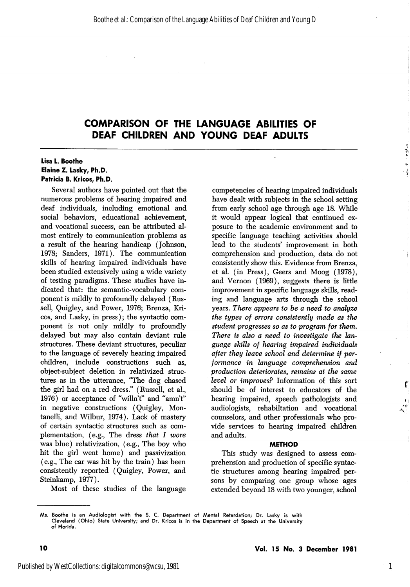#### Lisa L. Boothe Elaine Z. Lasky, Ph.D. Patricia B. Kricos, Ph.D.

Several authors have pointed out that the numerous problems of hearing impaired and deaf individuals, including emotional and social behaviors, educational achievement, and vocational success, can be attributed al most entirely to communication problems as a result of the hearing handicap (Johnson, 1978; Sanders, 1971). The communication skills of hearing impaired individuals have been studied extensively using a wide variety of testing paradigms. These studies have in dicated that: the semantic-vocabulary com ponent is mildly to profoundly delayed (Rus sell, Quigley, and Power, 1976; Brenza, Kri cos, and Lasky, in press); the syntactic com ponent is not only mildly to profoundly delayed but may also contain deviant rule structures. These deviant structures, peculiar to the language of severely hearing impaired children, include constructions such as, object-subject deletion in relativized struc tures as in the utterance, "The dog chased the girl had on a red dress." (Russell, et al., 1976) or acceptance of "willn't" and "amn't" in negative constructions (Quigley, Montanelli, and Wilbur, 1974). Lack of mastery of certain syntactic structures such as com plementation, (e.g., The dress that I wore was blue) relativization, (e.g.. The boy who hit the girl went home) and passivization (e.g.. The car was hit by the train) has been consistently reported (Quigley, Power, and Steinkamp, 1977).

Most of these studies of the language

competencies of hearing impaired individuals have dealt with subjects in the school setting from early school age through age 18. While it would appear logical that continued ex posure to the academic environment and to specific language teaching activities should lead to the students' improvement in both comprehension and production, data do not consistently show this. Evidence from Brenza, et al. (in Press), Geers and Moog (1978), and Vernon (1969), suggests there is little improvement in specific language skills, read ing and language arts through the school years. There appears to be a need to analyze the types of errors consistently made as the student progresses so as to program for them. There is also a need to investigate the language skills of hearing impaired individuals after they leave school and determine if per formance in language comprehension and production deteriorates, remains at the same level or improves? Information of this sort should be of interest to educators of the hearing impaired, speech pathologists and audiologists, rehabiltation and vocational counselors, and other professionals who pro vide services to hearing impaired children and adults.

#### METHOD

This study was designed to assess com prehension and production of specific syntac tic structures among hearing impaired per sons by comparing one group whose ages extended beyond 18 with two younger, school

1

 $+2.4$ ŧ.

ţ

Ms. Boothe is an Audlologist with the S. C. Department of Mental Retardation; Dr. Lasky is with Cleveland (Ohio) State University; and Dr. Kricos is in the Department of Speech at the University of Florida.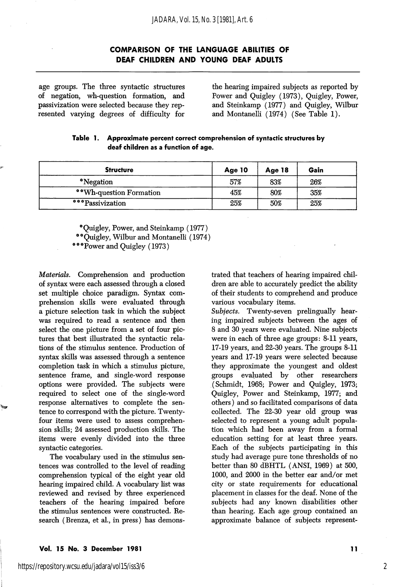age groups. The three syntactic structures of negation, wh-question formation, and passivization were selected because they rep resented varying degrees of difficulty for

the hearing impaired subjects as reported by Power and Quigley (1973), Quigley, Power, and Steinkamp (1977) and Quigley, Wilbur and Montanelli (1974) (See Table 1).

| Table 1. Approximate percent correct comprehension of syntactic structures by |
|-------------------------------------------------------------------------------|
| deaf children as a function of age.                                           |

| <b>Structure</b>        | Age 10 | Age 18 | Gain |  |
|-------------------------|--------|--------|------|--|
| *Negation               | 57%    | 83%    | 26%  |  |
| **Wh-question Formation | 45%    | 80%    | 35%  |  |
| ***Passivization        | 25%    | 50%    | 25%  |  |

\* Quigley, Power, and Steinkamp (1977)

\*\* Quigley, Wilbur and Montanelli (1974)

\*\*\* Power and Quigley (1973)

Materials. Comprehension and production of syntax were each assessed through a closed set multiple choice paradigm. Syntax com prehension skills were evaluated through a picture selection task in which the subject was required to read a sentence and then select the one picture from a set of four pic tures that best illustrated the syntactic rela tions of the stimulus sentence. Production of syntax skills was assessed through a sentence completion task in which a stimulus picture, sentence frame, and single-word response options were provided. The subjects were required to select one of the single-word response alternatives to complete the sen tence to correspond with the picture. Twentyfour items were used to assess comprehen sion skills; 24 assessed production skills. The items were evenly divided into the three syntactic categories.

The vocabulary used in the stimulus sen tences was controlled to the level of reading comprehension typical of the eight year old hearing impaired child. A vocabulary list was reviewed and revised by three experienced teachers of the hearing impaired before the stimulus sentences were constructed. Re search (Brenza, et al., in press) has demons

trated that teachers of hearing impaired chil dren are able to accurately predict the ability of their students to comprehend and produce various vocabulary items.

Subjects. Twenty-seven prelingually hearing impaired subjects between the ages of 8 and 30 years were evaluated. Nine subjects were in each of three age groups: 8-11 years, 17-19 years, and 22-30 years. The groups 8-11 years and 17-19 years were selected because they approximate the youngest and oldest groups evaluated by other researchers (Schmidt, 1968; Power and Quigley, 1973; Quigley, Power and Steinkamp, 1977; and others) and so facilitated comparisons of data collected. The 22-30 year old group was selected to represent a young adult population which had been away from a formal education setting for at least three years. Each of the subjects participating in this study had average pure tone thresholds of no better than 80 dBHTL (ANSI, 1969) at 500, 1000, and 2000 in the better ear and/or met city or state requirements for educational placement in classes for the deaf. None of the subjects had any known disabilities other than hearing. Each age group contained an approximate balance of subjects represent-

2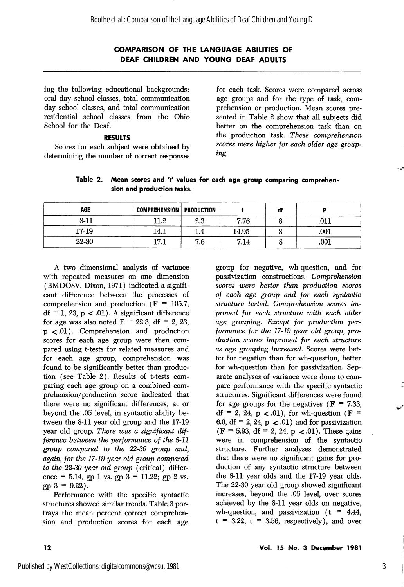ing the following educational backgrounds: oral day school classes, total communication day school classes, and total communication residential school classes from the Ohio School for the Deaf.

### RESULTS

Scores for each subject were obtained by determining the number of correct responses

for each task. Scores were compared across age groups and for the type of task, com prehension or production. Mean scores pre sented in Table 2 show that all subjects did better on the comprehension task than on the production task. These comprehension scores were higher for each older age group ing.

| Table 2. Mean scores and 't' values for each age group comparing comprehen- |
|-----------------------------------------------------------------------------|
| sion and production tasks.                                                  |

| <b>AGE</b> | <b>COMPREHENSION   PRODUCTION</b> |     |       | df |      |
|------------|-----------------------------------|-----|-------|----|------|
| $8 - 11$   | 11.2                              | 2.3 | 7.76  |    | .011 |
| 17-19      | 14.1                              |     | 14.95 |    | .001 |
| 22-30      | 17 1<br>.                         | 7.6 | 7.14  |    | .001 |

A two dimensional analysis of variance With repeated measures on one dimension (BMD08V, Dixon, 1971) indicated a signifi cant difference between the processes of comprehension and production ( $F = 105.7$ ,  $df = 1, 23, p < 0.01$ . A significant difference for age was also noted  $F = 22.3$ , df = 2, 23, p <.01). Comprehension and production scores for each age group were then com pared using t-tests for related measures and for each age group, comprehension was found to be significantly better than produc tion (see Table 2). Results of t-tests com paring each age group on a combined com prehension/production score indicated that there were no significant differences, at or beyond the .05 level, in syntactic ability be tween the 8-11 year old group and the 17-19 year old group. There was a significant difference between the performance of the 8-11 group compared to the 22-30 group and, again, for the 17-19 year old group compared to the 22-30 year old group (critical) differ ence = 5.14, gp 1 vs. gp  $3 = 11.22$ ; gp 2 vs.  $gp 3 = 9.22$ .

Performance with the specific syntactic structures showed similar trends. Table 3 por trays the mean percent correct comprehen sion and production scores for each age

group for negative, wh-question, and for passivization constructions. Comprehension scores were better than production scores of each age group and for each syntactic structure tested. Comprehension scores im proved for each structure with each older age grouping. Except for production per formance for the 17-19 year old group, pro duction scores improved for each structure as age grouping increased. Scores were bet ter for negation than for wh-question, better for wh-question than for passivization. Sep arate analyses of variance were done to com pare performance with the specific syntactic structures. Significant differences were found for age groups for the negatives  $(F = 7.33)$ ,  $df = 2$ , 24, p < 0.01), for wh-question (F = 6.0, df = 2, 24,  $p < .01$ ) and for passivization  $(F = 5.93, df = 2, 24, p < 01)$ . These gains were in comprehension of the syntactic structure. Further analyses demonstrated that there were no significant gains for pro duction of any syntactic structure between the 8-11 year olds and the 17-19 year olds. The 22-30 year old group showed significant increases, beyond the .05 level, over scores achieved by the 8-11 year olds on negative, wh-question, and passivization  $(t = 4.44)$ ,  $t = 3.22$ ,  $t = 3.56$ , respectively), and over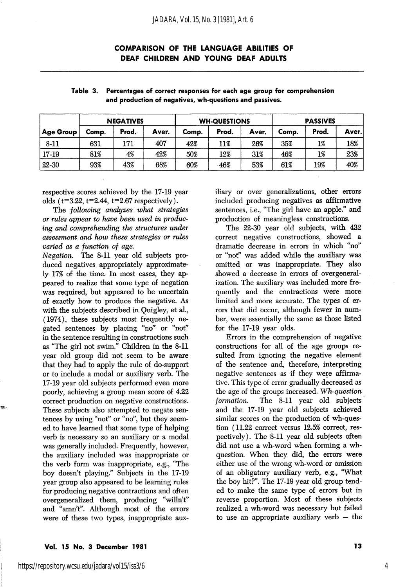|           | <b>NEGATIVES</b> |       |       | <b>WH-QUESTIONS</b> |       |       | <b>PASSIVES</b> |       |        |
|-----------|------------------|-------|-------|---------------------|-------|-------|-----------------|-------|--------|
| Age Group | Comp.            | Prod. | Aver. | Comp.               | Prod. | Aver. | Comp.           | Prod. | Aver.` |
| 8-11      | 631              | 171   | 407   | 42%                 | 11%   | 26%   | 35%             | 1%    | 18%    |
| 17-19     | 81%              | 4%    | 42%   | 50%                 | 12%   | 31%   | 46%             | 1%    | 23%    |
| 22-30     | 93%              | 43%   | 68%   | 60%                 | 46%   | 53%   | 61%             | 19%   | 40%    |

| Table 3. Percentages of correct responses for each age group for comprehension |
|--------------------------------------------------------------------------------|
| and production of negatives, wh-questions and passives.                        |

respective scores achieved by the 17-19 year olds  $(t=3.22, t=2.44, t=2.67$  respectively).

The following analyzes what strategies or rules appear to have been used in produc ing and comprehending the structures under assessment and how these strategies or rules varied as a function of age.

Negation. The 8-11 year old subjects pro duced negatives appropriately approximate ly 17% of the time. In most cases, they ap peared to realize that some type of negation was required, but appeared to be uncertain of exactly how to produce the negative. As with the subjects described in Quigley, et al., (1974), these subjects most frequently ne gated sentences by placing "no" or "not" in the sentence resulting in constructions such as "The girl not swim." Children in the 8-11 year old group did not seem to be aware that they had to apply the rule of do-support or to include a modal or auxiliary verb. The 17-19 year old subjects performed even more poorly, achieving a group mean score of 4.22 correct production on negative constructions. These subjects also attempted to negate sen tences by using "not" or "no", but they seem ed to have learned that some type of helping verb is necessary so an auxiliary or a modal was generally included. Frequently, however, the auxiliary included was inappropriate or the verb form was inappropriate, e.g., "The boy doesn t playing." Subjects in the 17-19 year group also appeared to be learning rules for producing negative contractions and often overgeneralized them, producing "wiUn't" and "amn't". Although most of the errors were of these two types, inappropriate aux

iliary or over generalizations, other errors included producing negatives as affirmative sentences, i.e., "The girl have an apple." and production of meaningless constructions.

The 22-30 year old subjects, with 432 correct negative constructions, showed a dramatic decrease in errors in which "no" or "not" was added while the auxiliary was omitted or was inappropriate. They also showed a decrease in errors of overgeneralization. The auxiliary was included more fre quently and the contractions were more limited and more accurate. The types of er rors that did occur, although fewer in number, were essentially the same as those listed for the 17-19 year olds.

Errors in the comprehension of negative constructions for all of the age groups re sulted from ignoring the negative element of the sentence and, therefore, interpreting negative sentences as if they were affirma tive. This type of error gradually decreased as the age of the groups increased. Wh-question formation. The 8-11 year old subjects and the 17-19 year old subjects achieved similar scores on the production of wh-ques tion (11.22 correct versus 12.5% correct, res pectively). The 8-11 year old subjects often did not use a wh-word when forming a whquestion. When they did, the errors were either use of the wrong wh-word or omission of an obligatory auxiliary verb, e.g., "What the boy hit?". The 17-19 year old group tend ed to make the same type of errors but in reverse proportion. Most of these subjects realized a wh-word was necessary but failed to use an appropriate auxiliary verb — the

#### Vol. 15 No. 3 December 1981 13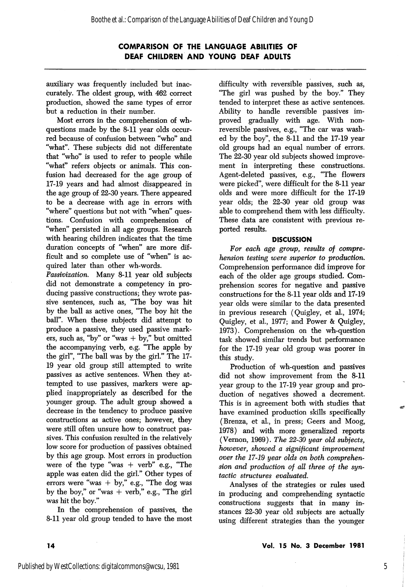auxiliary was frequently included but inac curately. The oldest group, with 462 correct production, showed the same types of error but a reduction in their number.

Most errors in the comprehension of whquestions made by the 8-11 year olds occur red because of confusion between "who" and "what". These subjects did not differentate that "who" is used to refer to people while "what" refers objects or animals. This con fusion had decreased for the age group of 17-19 years and had almost disappeared in the age group of 22-30 years. There appeared to be a decrease with age in errors with "where" questions but not with "when" ques tions. Confusion with comprehension of "when" persisted in all age groups. Research with hearing children indicates that the time duration concepts of "when" are more dif ficult and so complete use of "when" is ac quired later than other wh-words.

Passivization. Many 8-11 year old subjects did not demonstrate a competency in pro ducing passive constructions; they wrote pas sive sentences, such as, "The boy was hit by the ball as active ones, "The boy hit the ball". When these subjects did attempt to produce a passive, they used passive mark ers, such as, "by" or "was  $+$  by," but omitted the accompanying verb, e.g. "The apple by the girl", "The ball was by the girl." The 17- 19 year old group still attempted to write passives as active sentences. When they at tempted to use passives, markers were ap plied inappropriately as described for the younger group. The adult group showed a decrease in the tendency to produce passive constructions as active ones; however, they were still often unsure how to construct pas sives. This confusion resulted in the relatively low score for production of passives obtained by this age group. Most errors in production were of the type "was  $+$  verb" e.g., "The apple was eaten did the girl." Other types of errors were "was  $+$  by," e.g., "The dog was by the boy," or "was  $+$  verb," e.g., "The girl was hit the boy."

In the comprehension of passives, the 8-11 year old group tended to have the most

difficulty with reversible passives, such as, "The girl was pushed by the boy." They tended to interpret these as active sentences. Ability to handle reversible passives im proved gradually with age. With nonreversible passives, e.g., "The car was washed by the boy", the 8-11 and the 17-19 year old groups had an equal number of errors. The 22-30 year old subjects showed improve ment in interpreting these constructions. Agent-deleted passives, e.g., "The flowers were picked", were difficult for the 8-11 year olds and were more difficult for the 17-19 year olds; the 22-30 year old group was able to comprehend them with less difficulty. These data are consistent with previous re ported results.

#### **DISCUSSION**

For each age group, results of comprehension testing were superior to production. Comprehension performance did improve for each of the older age groups studied. Com prehension scores for negative and passive constructions for the 8-11 year olds and 17-19 year olds were similar to the data presented in previous research (Quigley, et al., 1974; Quigley, et al., 1977; and Power & Quigley, 1973). Comprehension on the wh-question task showed similar trends but performance for the 17-19 year old group was poorer in this study.

Production of wh-question and passives did not show improvement from the 8-11 year group to the 17-19 year group and pro duction of negatives showed a decrement. This is in agreement both with studies that have examined production skills specifically (Brenza, et al., in press; Geers and Moog, 1978) and with more generalized reports (Vernon, 1969). The 22-30 year old subjects, however, showed a significant improvement over the 17-19 year olds on both comprehen sion and production of all three of the syn tactic structures evaluated.

Analyses of the strategies or rules used in producing and comprehending syntactic constructions suggests that in many in stances 22-30 year old subjects are actually using different strategies than the younger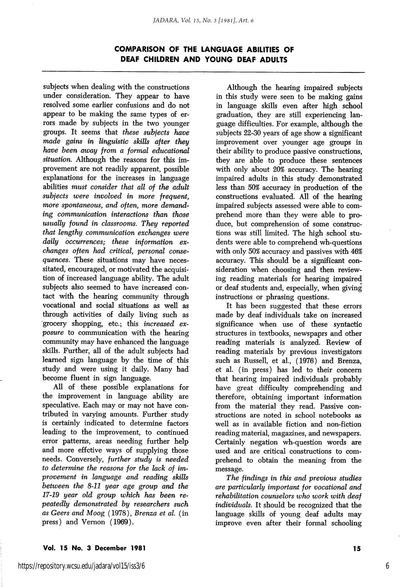subjects when dealing with the constructions under consideration. They appear to have resolved some earlier confusions and do not appear to be making the same types of er rors made by subjects in the two younger groups. It seems that these subjects have made gains in linguistic skills after they have been away from a formal educational situation. Although the reasons for this improvement are not readily apparent, possible explanations for the increases in language abilities must consider that all of the adult  $subjects$  were involved in more frequent. more spontaneous, and often, more demanding communication interactions than those usually found in classrooms. They reported that lengthy communication exchanges were daily occurrences; these information exchanges often had critical, personal conse quences. These situations may have neces sitated, encouraged, or motivated the acquisition of increased language ability. The adult subjects also seemed to have increased contact with the hearing community through vocational and social situations as well as through activities of daily living such as grocery shopping, etc.; this increased ex posure to communication with the hearing community may have enhanced the language skills. Further, all of the adult subjects had learned sign language by the time of this study and were using it daily. Many had become fluent in sign language.

All of these possible explanations for the improvement in language ability are speculative. Each may or may not have con tributed in varying amounts. Further study is certainly indicated to determine factors leading to the improvement, to continued error patterns, areas needing further help and more effctive ways of supplying those needs. Conversely, further study is needed to determine the reasons for the lack of im provement in language and reading skills between the 8-11 year age group and the 17-19 year old group which has been re peatedly demonstrated by researchers such as Geers and Moog (1978), Brenza et al. (in press) and Vernon (1969).

Although the hearing impaired subjects in this study were seen to be making gains in language skills even after high school graduation, they are still experiencing lan guage difficulties. For example, although the subjects 22-30 years of age show a significant improvement over younger age groups in their ability to produce passive constructions, they are able to produce these sentences with only about 20% accuracy. The hearing impaired adults in this study demonstrated less than 50% accuracy in production of the constructions evaluated. All of the hearing impaired subjects assessed were able to com prehend more than they were able to pro duce, but comprehension of some construc tions was still limited. The high school stu dents were able to comprehend wh-questions with only 50% accuracy and passives with 46% accuracy. This should be a significant con sideration when choosing and then review ing reading materials for hearing impaired or deaf students and, especially, when giving instructions or phrasing questions.

It has been suggested that these errors made by deaf individuals take on increased significance when use of these syntactic structures in textbooks, newspaprs and other reading materials is analyzed. Review of reading materials by previous investigators such as Russell, et al., (1976) and Brenza, et al. (in press) has led to their concern that hearing impaired individuals probably have great difficulty comprehending and therefore, obtaining important information from the material they read. Passive con structions are noted in school notebooks as well as in available fiction and non-fiction reading material, magazines, and newspapers. Certainly negation wh-question words are used and are critical constructions to com prehend to obtain the meaning from the message.

The findings in this and previous studies are particularly important for vocational and rehabilitation counselors who work with deaf individuals. It should be recognized that the language skills of young deaf adults may improve even after their formal schooling

#### Vol. 15 No. 3 December 1981 15

6